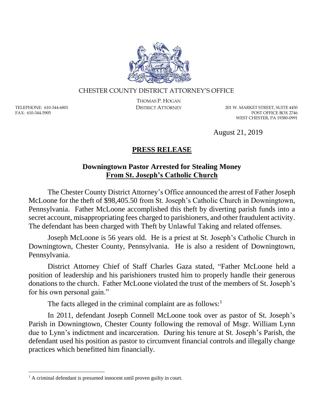

## CHESTER COUNTY DISTRICT ATTORNEY'S OFFICE

TELEPHONE: 610-344-6801 FAX: 610-344-5905

 $\overline{a}$ 

THOMAS P. HOGAN

DISTRICT ATTORNEY 201 W. MARKET STREET, SUITE 4450 POST OFFICE BOX 2746 WEST CHESTER, PA 19380-0991

August 21, 2019

## **PRESS RELEASE**

## **Downingtown Pastor Arrested for Stealing Money From St. Joseph's Catholic Church**

The Chester County District Attorney's Office announced the arrest of Father Joseph McLoone for the theft of \$98,405.50 from St. Joseph's Catholic Church in Downingtown, Pennsylvania. Father McLoone accomplished this theft by diverting parish funds into a secret account, misappropriating fees charged to parishioners, and other fraudulent activity. The defendant has been charged with Theft by Unlawful Taking and related offenses.

Joseph McLoone is 56 years old. He is a priest at St. Joseph's Catholic Church in Downingtown, Chester County, Pennsylvania. He is also a resident of Downingtown, Pennsylvania.

District Attorney Chief of Staff Charles Gaza stated, "Father McLoone held a position of leadership and his parishioners trusted him to properly handle their generous donations to the church. Father McLoone violated the trust of the members of St. Joseph's for his own personal gain."

The facts alleged in the criminal complaint are as follows: $<sup>1</sup>$ </sup>

In 2011, defendant Joseph Connell McLoone took over as pastor of St. Joseph's Parish in Downingtown, Chester County following the removal of Msgr. William Lynn due to Lynn's indictment and incarceration. During his tenure at St. Joseph's Parish, the defendant used his position as pastor to circumvent financial controls and illegally change practices which benefitted him financially.

<sup>&</sup>lt;sup>1</sup> A criminal defendant is presumed innocent until proven guilty in court.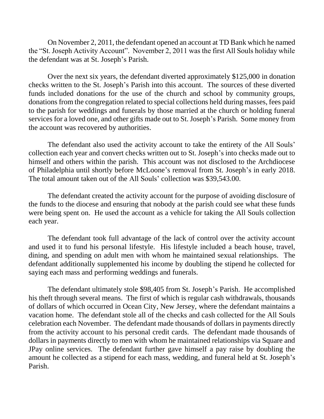On November 2, 2011, the defendant opened an account at TD Bank which he named the "St. Joseph Activity Account". November 2, 2011 was the first All Souls holiday while the defendant was at St. Joseph's Parish.

Over the next six years, the defendant diverted approximately \$125,000 in donation checks written to the St. Joseph's Parish into this account. The sources of these diverted funds included donations for the use of the church and school by community groups, donations from the congregation related to special collections held during masses, fees paid to the parish for weddings and funerals by those married at the church or holding funeral services for a loved one, and other gifts made out to St. Joseph's Parish. Some money from the account was recovered by authorities.

The defendant also used the activity account to take the entirety of the All Souls' collection each year and convert checks written out to St. Joseph's into checks made out to himself and others within the parish. This account was not disclosed to the Archdiocese of Philadelphia until shortly before McLoone's removal from St. Joseph's in early 2018. The total amount taken out of the All Souls' collection was \$39,543.00.

The defendant created the activity account for the purpose of avoiding disclosure of the funds to the diocese and ensuring that nobody at the parish could see what these funds were being spent on. He used the account as a vehicle for taking the All Souls collection each year.

The defendant took full advantage of the lack of control over the activity account and used it to fund his personal lifestyle. His lifestyle included a beach house, travel, dining, and spending on adult men with whom he maintained sexual relationships. The defendant additionally supplemented his income by doubling the stipend he collected for saying each mass and performing weddings and funerals.

The defendant ultimately stole \$98,405 from St. Joseph's Parish. He accomplished his theft through several means. The first of which is regular cash withdrawals, thousands of dollars of which occurred in Ocean City, New Jersey, where the defendant maintains a vacation home. The defendant stole all of the checks and cash collected for the All Souls celebration each November. The defendant made thousands of dollars in payments directly from the activity account to his personal credit cards. The defendant made thousands of dollars in payments directly to men with whom he maintained relationships via Square and JPay online services. The defendant further gave himself a pay raise by doubling the amount he collected as a stipend for each mass, wedding, and funeral held at St. Joseph's Parish.